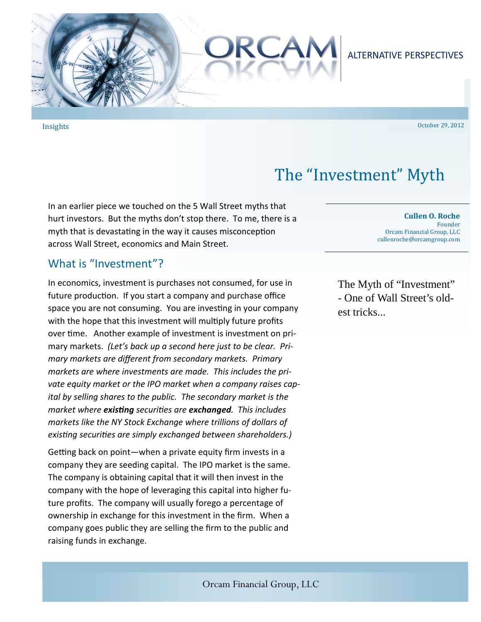

Insights 

October 29, 2012 

# The "Investment" Myth

In an earlier piece we touched on the 5 Wall Street myths that hurt investors. But the myths don't stop there. To me, there is a myth that is devastating in the way it causes misconception across Wall Street, economics and Main Street.

# What is "Investment"?

In economics, investment is purchases not consumed, for use in future production. If you start a company and purchase office space you are not consuming. You are investing in your company with the hope that this investment will multiply future profits over time. Another example of investment is investment on primary markets. *(Let's back up a second here just to be clear. Primary markets are different from secondary markets. Primary markets are where investments are made. This includes the private equity market or the IPO market when a company raises capital by selling shares to the public. The secondary market is the market where existing securities are exchanged. This includes markets like the NY Stock Exchange where trillions of dollars of existing securities are simply exchanged between shareholders.)* 

Getting back on point—when a private equity firm invests in a company they are seeding capital. The IPO market is the same. The company is obtaining capital that it will then invest in the company with the hope of leveraging this capital into higher future profits. The company will usually forego a percentage of ownership in exchange for this investment in the firm. When a company goes public they are selling the firm to the public and raising funds in exchange.

**Cullen O. Roche** Founder Orcam Financial Group, LLC cullenroche@orcamgroup.com 

The Myth of "Investment" - One of Wall Street's oldest tricks...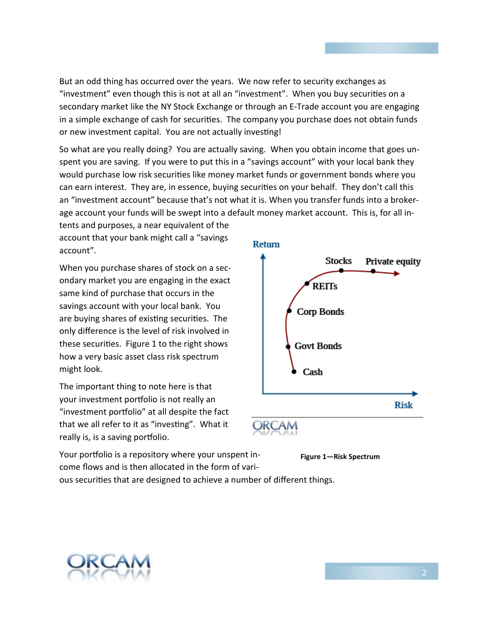But an odd thing has occurred over the years. We now refer to security exchanges as "investment" even though this is not at all an "investment". When you buy securities on a secondary market like the NY Stock Exchange or through an E-Trade account you are engaging in a simple exchange of cash for securities. The company you purchase does not obtain funds or new investment capital. You are not actually investing!

So what are you really doing? You are actually saving. When you obtain income that goes unspent you are saving. If you were to put this in a "savings account" with your local bank they would purchase low risk securities like money market funds or government bonds where you can earn interest. They are, in essence, buying securities on your behalf. They don't call this an "investment account" because that's not what it is. When you transfer funds into a brokerage account your funds will be swept into a default money market account. This is, for all in-

tents and purposes, a near equivalent of the account that your bank might call a "savings account".

When you purchase shares of stock on a secondary market you are engaging in the exact same kind of purchase that occurs in the savings account with your local bank. You are buying shares of existing securities. The only difference is the level of risk involved in these securities. Figure 1 to the right shows how a very basic asset class risk spectrum might look.

The important thing to note here is that your investment portfolio is not really an "investment portfolio" at all despite the fact that we all refer to it as "investing". What it really is, is a saving portfolio.





Your portfolio is a repository where your unspent income flows and is then allocated in the form of vari-

ous securities that are designed to achieve a number of different things.